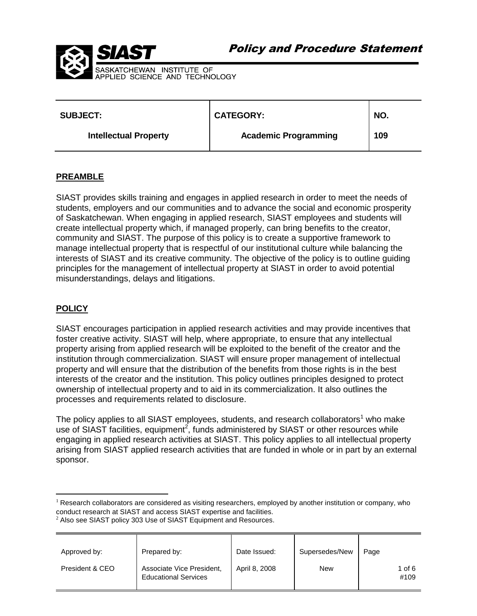



| <b>SUBJECT:</b>              | <b>CATEGORY:</b>            | NO. |
|------------------------------|-----------------------------|-----|
| <b>Intellectual Property</b> | <b>Academic Programming</b> | 109 |

## **PREAMBLE**

SIAST provides skills training and engages in applied research in order to meet the needs of students, employers and our communities and to advance the social and economic prosperity of Saskatchewan. When engaging in applied research, SIAST employees and students will create intellectual property which, if managed properly, can bring benefits to the creator, community and SIAST. The purpose of this policy is to create a supportive framework to manage intellectual property that is respectful of our institutional culture while balancing the interests of SIAST and its creative community. The objective of the policy is to outline guiding principles for the management of intellectual property at SIAST in order to avoid potential misunderstandings, delays and litigations.

# **POLICY**

 $\overline{a}$ 

SIAST encourages participation in applied research activities and may provide incentives that foster creative activity. SIAST will help, where appropriate, to ensure that any intellectual property arising from applied research will be exploited to the benefit of the creator and the institution through commercialization. SIAST will ensure proper management of intellectual property and will ensure that the distribution of the benefits from those rights is in the best interests of the creator and the institution. This policy outlines principles designed to protect ownership of intellectual property and to aid in its commercialization. It also outlines the processes and requirements related to disclosure.

The policy applies to all SIAST employees, students, and research collaborators<sup>1</sup> who make use of SIAST facilities, equipment<sup>2</sup>, funds administered by SIAST or other resources while engaging in applied research activities at SIAST. This policy applies to all intellectual property arising from SIAST applied research activities that are funded in whole or in part by an external sponsor.

 $2$  Also see SIAST policy 303 Use of SIAST Equipment and Resources.

| Approved by:    | Prepared by:                                             | Date Issued:  | Supersedes/New | Page           |
|-----------------|----------------------------------------------------------|---------------|----------------|----------------|
| President & CEO | Associate Vice President,<br><b>Educational Services</b> | April 8, 2008 | New            | 1 of 6<br>#109 |

 $<sup>1</sup>$  Research collaborators are considered as visiting researchers, employed by another institution or company, who</sup> conduct research at SIAST and access SIAST expertise and facilities.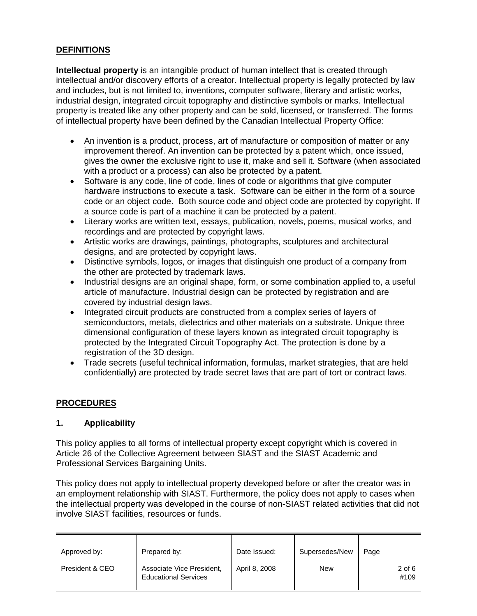# **DEFINITIONS**

**Intellectual property** is an intangible product of human intellect that is created through intellectual and/or discovery efforts of a creator. Intellectual property is legally protected by law and includes, but is not limited to, inventions, computer software, literary and artistic works, industrial design, integrated circuit topography and distinctive symbols or marks. Intellectual property is treated like any other property and can be sold, licensed, or transferred. The forms of intellectual property have been defined by the Canadian Intellectual Property Office:

- An invention is a product, process, art of manufacture or composition of matter or any improvement thereof. An invention can be protected by a patent which, once issued, gives the owner the exclusive right to use it, make and sell it. Software (when associated with a product or a process) can also be protected by a patent.
- Software is any code, line of code, lines of code or algorithms that give computer hardware instructions to execute a task. Software can be either in the form of a source code or an object code. Both source code and object code are protected by copyright. If a source code is part of a machine it can be protected by a patent.
- Literary works are written text, essays, publication, novels, poems, musical works, and recordings and are protected by copyright laws.
- Artistic works are drawings, paintings, photographs, sculptures and architectural designs, and are protected by copyright laws.
- Distinctive symbols, logos, or images that distinguish one product of a company from the other are protected by trademark laws.
- Industrial designs are an original shape, form, or some combination applied to, a useful article of manufacture. Industrial design can be protected by registration and are covered by industrial design laws.
- Integrated circuit products are constructed from a complex series of layers of semiconductors, metals, dielectrics and other materials on a substrate. Unique three dimensional configuration of these layers known as integrated circuit topography is protected by the Integrated Circuit Topography Act. The protection is done by a registration of the 3D design.
- Trade secrets (useful technical information, formulas, market strategies, that are held confidentially) are protected by trade secret laws that are part of tort or contract laws.

# **PROCEDURES**

# **1. Applicability**

This policy applies to all forms of intellectual property except copyright which is covered in Article 26 of the Collective Agreement between SIAST and the SIAST Academic and Professional Services Bargaining Units.

This policy does not apply to intellectual property developed before or after the creator was in an employment relationship with SIAST. Furthermore, the policy does not apply to cases when the intellectual property was developed in the course of non-SIAST related activities that did not involve SIAST facilities, resources or funds.

| Approved by:    | Prepared by:                                             | Date Issued:  | Supersedes/New | Page           |
|-----------------|----------------------------------------------------------|---------------|----------------|----------------|
| President & CEO | Associate Vice President,<br><b>Educational Services</b> | April 8, 2008 | New            | 2 of 6<br>#109 |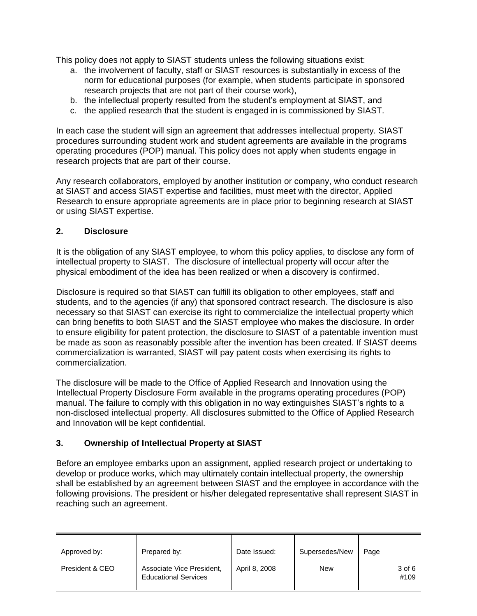This policy does not apply to SIAST students unless the following situations exist:

- a. the involvement of faculty, staff or SIAST resources is substantially in excess of the norm for educational purposes (for example, when students participate in sponsored research projects that are not part of their course work),
- b. the intellectual property resulted from the student's employment at SIAST, and
- c. the applied research that the student is engaged in is commissioned by SIAST.

In each case the student will sign an agreement that addresses intellectual property. SIAST procedures surrounding student work and student agreements are available in the programs operating procedures (POP) manual. This policy does not apply when students engage in research projects that are part of their course.

Any research collaborators, employed by another institution or company, who conduct research at SIAST and access SIAST expertise and facilities, must meet with the director, Applied Research to ensure appropriate agreements are in place prior to beginning research at SIAST or using SIAST expertise.

# **2. Disclosure**

It is the obligation of any SIAST employee, to whom this policy applies, to disclose any form of intellectual property to SIAST. The disclosure of intellectual property will occur after the physical embodiment of the idea has been realized or when a discovery is confirmed.

Disclosure is required so that SIAST can fulfill its obligation to other employees, staff and students, and to the agencies (if any) that sponsored contract research. The disclosure is also necessary so that SIAST can exercise its right to commercialize the intellectual property which can bring benefits to both SIAST and the SIAST employee who makes the disclosure. In order to ensure eligibility for patent protection, the disclosure to SIAST of a patentable invention must be made as soon as reasonably possible after the invention has been created. If SIAST deems commercialization is warranted, SIAST will pay patent costs when exercising its rights to commercialization.

The disclosure will be made to the Office of Applied Research and Innovation using the Intellectual Property Disclosure Form available in the programs operating procedures (POP) manual. The failure to comply with this obligation in no way extinguishes SIAST's rights to a non-disclosed intellectual property. All disclosures submitted to the Office of Applied Research and Innovation will be kept confidential.

# **3. Ownership of Intellectual Property at SIAST**

Before an employee embarks upon an assignment, applied research project or undertaking to develop or produce works, which may ultimately contain intellectual property, the ownership shall be established by an agreement between SIAST and the employee in accordance with the following provisions. The president or his/her delegated representative shall represent SIAST in reaching such an agreement.

| Approved by:    | Prepared by:                                             | Date Issued:  | Supersedes/New | Page           |
|-----------------|----------------------------------------------------------|---------------|----------------|----------------|
| President & CEO | Associate Vice President,<br><b>Educational Services</b> | April 8, 2008 | <b>New</b>     | 3 of 6<br>#109 |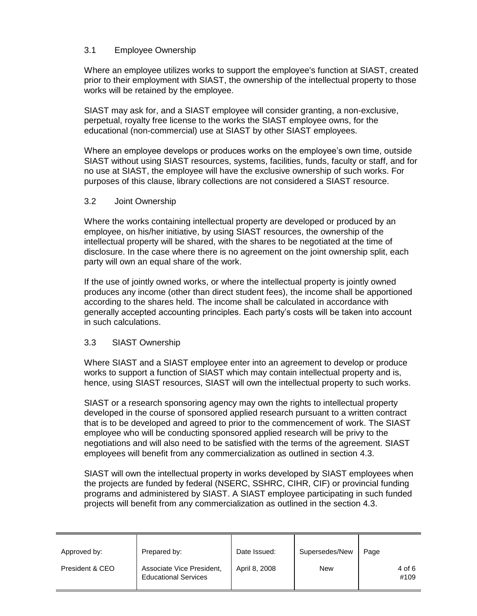## 3.1 Employee Ownership

Where an employee utilizes works to support the employee's function at SIAST, created prior to their employment with SIAST, the ownership of the intellectual property to those works will be retained by the employee.

SIAST may ask for, and a SIAST employee will consider granting, a non-exclusive, perpetual, royalty free license to the works the SIAST employee owns, for the educational (non-commercial) use at SIAST by other SIAST employees.

Where an employee develops or produces works on the employee's own time, outside SIAST without using SIAST resources, systems, facilities, funds, faculty or staff, and for no use at SIAST, the employee will have the exclusive ownership of such works. For purposes of this clause, library collections are not considered a SIAST resource.

## 3.2 Joint Ownership

Where the works containing intellectual property are developed or produced by an employee, on his/her initiative, by using SIAST resources, the ownership of the intellectual property will be shared, with the shares to be negotiated at the time of disclosure. In the case where there is no agreement on the joint ownership split, each party will own an equal share of the work.

If the use of jointly owned works, or where the intellectual property is jointly owned produces any income (other than direct student fees), the income shall be apportioned according to the shares held. The income shall be calculated in accordance with generally accepted accounting principles. Each party's costs will be taken into account in such calculations.

# 3.3 SIAST Ownership

Where SIAST and a SIAST employee enter into an agreement to develop or produce works to support a function of SIAST which may contain intellectual property and is, hence, using SIAST resources, SIAST will own the intellectual property to such works.

SIAST or a research sponsoring agency may own the rights to intellectual property developed in the course of sponsored applied research pursuant to a written contract that is to be developed and agreed to prior to the commencement of work. The SIAST employee who will be conducting sponsored applied research will be privy to the negotiations and will also need to be satisfied with the terms of the agreement. SIAST employees will benefit from any commercialization as outlined in section 4.3.

SIAST will own the intellectual property in works developed by SIAST employees when the projects are funded by federal (NSERC, SSHRC, CIHR, CIF) or provincial funding programs and administered by SIAST. A SIAST employee participating in such funded projects will benefit from any commercialization as outlined in the section 4.3.

| Approved by:    | Prepared by:                                             | Date Issued:  | Supersedes/New | Page           |
|-----------------|----------------------------------------------------------|---------------|----------------|----------------|
| President & CEO | Associate Vice President,<br><b>Educational Services</b> | April 8, 2008 | <b>New</b>     | 4 of 6<br>#109 |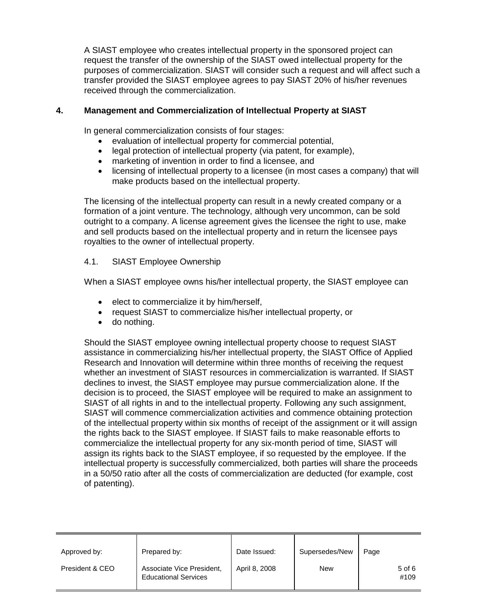A SIAST employee who creates intellectual property in the sponsored project can request the transfer of the ownership of the SIAST owed intellectual property for the purposes of commercialization. SIAST will consider such a request and will affect such a transfer provided the SIAST employee agrees to pay SIAST 20% of his/her revenues received through the commercialization.

# **4. Management and Commercialization of Intellectual Property at SIAST**

In general commercialization consists of four stages:

- evaluation of intellectual property for commercial potential,
- legal protection of intellectual property (via patent, for example),
- marketing of invention in order to find a licensee, and
- licensing of intellectual property to a licensee (in most cases a company) that will make products based on the intellectual property.

The licensing of the intellectual property can result in a newly created company or a formation of a joint venture. The technology, although very uncommon, can be sold outright to a company. A license agreement gives the licensee the right to use, make and sell products based on the intellectual property and in return the licensee pays royalties to the owner of intellectual property.

## 4.1. SIAST Employee Ownership

When a SIAST employee owns his/her intellectual property, the SIAST employee can

- elect to commercialize it by him/herself,
- request SIAST to commercialize his/her intellectual property, or
- do nothing.

Should the SIAST employee owning intellectual property choose to request SIAST assistance in commercializing his/her intellectual property, the SIAST Office of Applied Research and Innovation will determine within three months of receiving the request whether an investment of SIAST resources in commercialization is warranted. If SIAST declines to invest, the SIAST employee may pursue commercialization alone. If the decision is to proceed, the SIAST employee will be required to make an assignment to SIAST of all rights in and to the intellectual property. Following any such assignment, SIAST will commence commercialization activities and commence obtaining protection of the intellectual property within six months of receipt of the assignment or it will assign the rights back to the SIAST employee. If SIAST fails to make reasonable efforts to commercialize the intellectual property for any six-month period of time, SIAST will assign its rights back to the SIAST employee, if so requested by the employee. If the intellectual property is successfully commercialized, both parties will share the proceeds in a 50/50 ratio after all the costs of commercialization are deducted (for example, cost of patenting).

| Approved by:    | Prepared by:                                             | Date Issued:  | Supersedes/New | Page               |
|-----------------|----------------------------------------------------------|---------------|----------------|--------------------|
| President & CEO | Associate Vice President,<br><b>Educational Services</b> | April 8, 2008 | <b>New</b>     | $5$ of $6$<br>#109 |